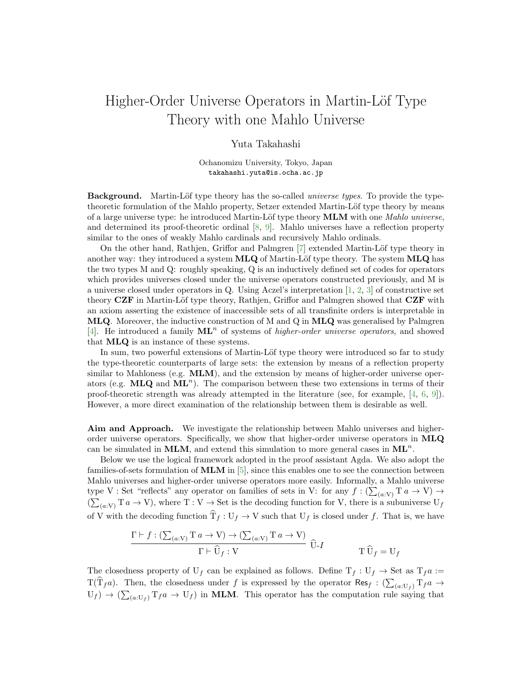## Higher-Order Universe Operators in Martin-Löf Type Theory with one Mahlo Universe

## Yuta Takahashi

Ochanomizu University, Tokyo, Japan takahashi.yuta@is.ocha.ac.jp

Background. Martin-Löf type theory has the so-called *universe types*. To provide the typetheoretic formulation of the Mahlo property, Setzer extended Martin-Löf type theory by means of a large universe type: he introduced Martin-Löf type theory **MLM** with one *Mahlo universe*, and determined its proof-theoretic ordinal  $[8, 9]$  $[8, 9]$ . Mahlo universes have a reflection property similar to the ones of weakly Mahlo cardinals and recursively Mahlo ordinals.

On the other hand, Rathjen, Griffor and Palmgren [\[7\]](#page-2-2) extended Martin-Löf type theory in another way: they introduced a system  $MLQ$  of Martin-Löf type theory. The system  $MLQ$  has the two types M and Q: roughly speaking, Q is an inductively defined set of codes for operators which provides universes closed under the universe operators constructed previously, and M is a universe closed under operators in Q. Using Aczel's interpretation  $[1, 2, 3]$  $[1, 2, 3]$  $[1, 2, 3]$  $[1, 2, 3]$  of constructive set theory  $CZF$  in Martin-Löf type theory, Rathjen, Griffor and Palmgren showed that  $CZF$  with an axiom asserting the existence of inaccessible sets of all transfinite orders is interpretable in MLQ. Moreover, the inductive construction of M and Q in MLQ was generalised by Palmgren [\[4\]](#page-2-6). He introduced a family  $\text{ML}^n$  of systems of *higher-order universe operators*, and showed that MLQ is an instance of these systems.

In sum, two powerful extensions of Martin-Löf type theory were introduced so far to study the type-theoretic counterparts of large sets: the extension by means of a reflection property similar to Mahloness (e.g.  $MLM$ ), and the extension by means of higher-order universe operators (e.g.  $MLQ$  and  $ML<sup>n</sup>$ ). The comparison between these two extensions in terms of their proof-theoretic strength was already attempted in the literature (see, for example,  $[4, 6, 9]$  $[4, 6, 9]$  $[4, 6, 9]$  $[4, 6, 9]$ ). However, a more direct examination of the relationship between them is desirable as well.

Aim and Approach. We investigate the relationship between Mahlo universes and higherorder universe operators. Specifically, we show that higher-order universe operators in MLQ can be simulated in MLM, and extend this simulation to more general cases in  $ML<sup>n</sup>$ .

Below we use the logical framework adopted in the proof assistant Agda. We also adopt the families-of-sets formulation of MLM in [\[5\]](#page-2-8), since this enables one to see the connection between Mahlo universes and higher-order universe operators more easily. Informally, a Mahlo universe type V : Set "reflects" any operator on families of sets in V: for any  $f : (\sum_{(a:V)} T a \to V) \to$  $(\sum_{(a:V)}$  T  $a \to V)$ , where T : V  $\to$  Set is the decoding function for V, there is a subuniverse U<sub>f</sub> of V with the decoding function  $\hat{T}_f : U_f \to V$  such that  $U_f$  is closed under f. That is, we have

$$
\frac{\Gamma \vdash f : (\sum_{(a:V)} \mathbf{T} \, a \to \mathbf{V}) \to (\sum_{(a:V)} \mathbf{T} \, a \to \mathbf{V})}{\Gamma \vdash \widehat{\mathbf{U}}_f : \mathbf{V}} \quad \widetilde{\mathbf{U}} \text{-} I \qquad \qquad \mathbf{T} \, \widehat{\mathbf{U}}_f = \mathbf{U}_f
$$

The closedness property of  $U_f$  can be explained as follows. Define  $T_f : U_f \to \text{Set}$  as  $T_f a :=$  $T(T_f a)$ . Then, the closedness under f is expressed by the operator  $\text{Res}_f : (\sum_{(a:U_f)} T_f a \rightarrow$  $U_f$   $\rightarrow$   $(\sum_{(a:U_f)}$   $T_f a \rightarrow U_f)$  in **MLM**. This operator has the computation rule saying that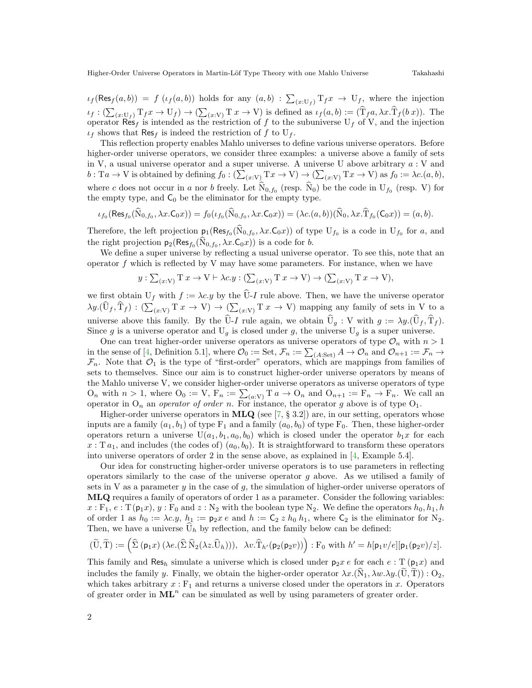$\iota_f(\text{Res}_f(a,b)) = f(\iota_f(a,b))$  holds for any  $(a,b) : \sum_{(x,\cup_f)} T_f x \to U_f$ , where the injection  $\iota_f : (\sum_{(x:U_f)} \mathrm{T}_f x \to \mathrm{U}_f) \to (\sum_{(x:V)} \mathrm{T} x \to \mathrm{V})$  is defined as  $\iota_f(a, b) := (\mathrm{T}_f a, \lambda x. \mathrm{T}_f(b \, x)).$  The operator  $\mathsf{Res}_f$  is intended as the restriction of f to the subuniverse  $U_f$  of V, and the injection  $\iota_f$  shows that Res<sub>f</sub> is indeed the restriction of f to U<sub>f</sub>.

This reflection property enables Mahlo universes to define various universe operators. Before higher-order universe operators, we consider three examples: a universe above a family of sets in V, a usual universe operator and a super universe. A universe U above arbitrary  $a: V$  and  $b: Ta \to V$  is obtained by defining  $f_0: (\sum_{(x:V)} Tx \to V) \to (\sum_{(x:V)} Tx \to V)$  as  $f_0 := \lambda c.(a, b)$ , where c does not occur in a nor b freely. Let  $N_{0,f_0}$  (resp.  $N_0$ ) be the code in  $U_{f_0}$  (resp. V) for the empty type, and  $C_0$  be the eliminator for the empty type.

$$
\iota_{f_0}(\text{Res}_{f_0}(\widehat{N}_{0,f_0}, \lambda x. \mathsf{C}_0 x)) = f_0(\iota_{f_0}(\widehat{N}_{0,f_0}, \lambda x. \mathsf{C}_0 x)) = (\lambda c.(a, b))(\widehat{N}_0, \lambda x. \widehat{T}_{f_0}(\mathsf{C}_0 x)) = (a, b).
$$

Therefore, the left projection  $p_1(Res_{f_0}(N_{0,f_0}, \lambda x.C_0x))$  of type  $U_{f_0}$  is a code in  $U_{f_0}$  for a, and the right projection  $p_2(Res_{f_0}(N_{0,f_0}, \lambda x.C_0x))$  is a code for b.

We define a super universe by reflecting a usual universe operator. To see this, note that an operator  $f$  which is reflected by V may have some parameters. For instance, when we have

$$
y:\sum_{(x:{\cal V})}\mathbf{T}\,x\to{\cal V}\vdash\lambda{c}.y:(\sum_{(x:{\cal V})}\mathbf{T}\,x\to{\cal V})\to(\sum_{(x:{\cal V})}\mathbf{T}\,x\to{\cal V}),
$$

we first obtain  $U_f$  with  $f := \lambda c.y$  by the  $\widehat{U}$ -*I* rule above. Then, we have the universe operator  $\lambda y.(\mathbf{U}_f, \mathbf{T}_f) : (\sum_{(x:V)} \mathbf{T} x \to \mathbf{V}) \to (\sum_{(x:V)} \mathbf{T} x \to \mathbf{V})$  mapping any family of sets in V to a universe above this family. By the  $\widehat{U}$ -*I* rule again, we obtain  $\widehat{U}_q : V$  with  $g := \lambda y \cdot (\widehat{U}_f, \widehat{T}_f)$ . Since g is a universe operator and  $U_q$  is closed under g, the universe  $U_q$  is a super universe.

One can treat higher-order universe operators as universe operators of type  $\mathcal{O}_n$  with  $n > 1$ in the sense of [\[4,](#page-2-6) Definition 5.1], where  $\mathcal{O}_0 := \text{Set}, \mathcal{F}_n := \sum_{(A:\text{Set})} A \to \mathcal{O}_n$  and  $\mathcal{O}_{n+1} := \mathcal{F}_n \to$  $\mathcal{F}_n$ . Note that  $\mathcal{O}_1$  is the type of "first-order" operators, which are mappings from families of sets to themselves. Since our aim is to construct higher-order universe operators by means of the Mahlo universe V, we consider higher-order universe operators as universe operators of type  $O_n$  with  $n > 1$ , where  $O_0 := V$ ,  $F_n := \sum_{(a:V)} T_a \rightarrow O_n$  and  $O_{n+1} := F_n \rightarrow F_n$ . We call an operator in  $O_n$  an *operator of order n*. For instance, the operator g above is of type  $O_1$ .

Higher-order universe operators in  $MLQ$  (see [\[7,](#page-2-2) § 3.2]) are, in our setting, operators whose inputs are a family  $(a_1, b_1)$  of type  $F_1$  and a family  $(a_0, b_0)$  of type  $F_0$ . Then, these higher-order operators return a universe  $U(a_1, b_1, a_0, b_0)$  which is closed under the operator  $b_1x$  for each  $x: T_{a_1}$ , and includes (the codes of)  $(a_0, b_0)$ . It is straightforward to transform these operators into universe operators of order 2 in the sense above, as explained in [\[4,](#page-2-6) Example 5.4].

Our idea for constructing higher-order universe operators is to use parameters in reflecting operators similarly to the case of the universe operator  $g$  above. As we utilised a family of sets in V as a parameter  $y$  in the case of  $g$ , the simulation of higher-order universe operators of MLQ requires a family of operators of order 1 as a parameter. Consider the following variables:  $x : F_1, e : T(\mathsf{p}_1 x), y : F_0 \text{ and } z : N_2 \text{ with the boolean type } N_2.$  We define the operators  $h_0, h_1, h_2$ of order 1 as  $h_0 := \lambda c.y$ ,  $h_1 := \mathbf{p}_2 x e$  and  $h := \mathbf{C}_2 z h_0 h_1$ , where  $\mathbf{C}_2$  is the eliminator for  $N_2$ . Then, we have a universe  $\dot{\mathbf{U}}_h$  by reflection, and the family below can be defined:

$$
(\widetilde{U}, \widetilde{T}) := \left( \widehat{\Sigma} \left( \mathsf{p}_1 x \right) \left( \lambda e.(\widehat{\Sigma} \, \widehat{N}_2(\lambda z. \widehat{U}_h)) \right), \ \lambda v. \widehat{T}_{h'}(\mathsf{p}_2(\mathsf{p}_2 v)) \right) : \mathbf{F}_0 \text{ with } h' = h[\mathsf{p}_1 v/e][\mathsf{p}_1(\mathsf{p}_2 v)/z].
$$

This family and Res<sub>h</sub> simulate a universe which is closed under  $p_2x e$  for each  $e : T(p_1x)$  and includes the family y. Finally, we obtain the higher-order operator  $\lambda x.(\hat{N}_1, \lambda w.\lambda y.(\tilde{U}, \tilde{T})) : O_2$ , which takes arbitrary  $x : F_1$  and returns a universe closed under the operators in x. Operators of greater order in  $ML<sup>n</sup>$  can be simulated as well by using parameters of greater order.